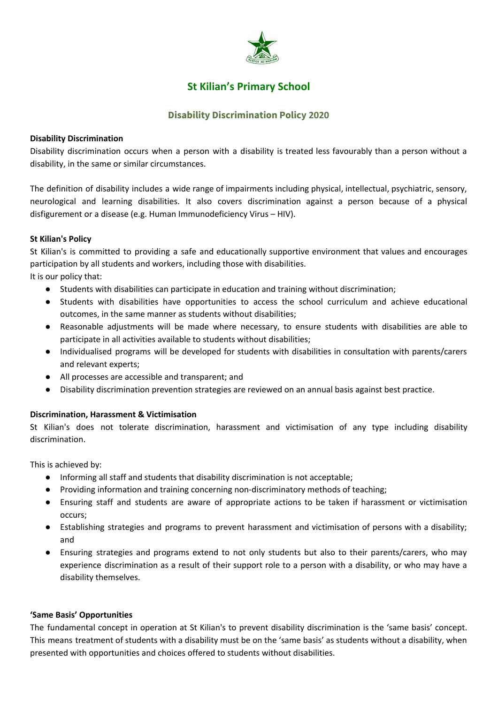

# **St Kilian's Primary School**

# **Disability Discrimination Policy 2020**

# **Disability Discrimination**

Disability discrimination occurs when a person with a disability is treated less favourably than a person without a disability, in the same or similar circumstances.

The definition of disability includes a wide range of impairments including physical, intellectual, psychiatric, sensory, neurological and learning disabilities. It also covers discrimination against a person because of a physical disfigurement or a disease (e.g. Human Immunodeficiency Virus – HIV).

### **St Kilian's Policy**

St Kilian's is committed to providing a safe and educationally supportive environment that values and encourages participation by all students and workers, including those with disabilities.

It is our policy that:

- Students with disabilities can participate in education and training without discrimination;
- Students with disabilities have opportunities to access the school curriculum and achieve educational outcomes, in the same manner as students without disabilities;
- Reasonable adjustments will be made where necessary, to ensure students with disabilities are able to participate in all activities available to students without disabilities;
- Individualised programs will be developed for students with disabilities in consultation with parents/carers and relevant experts;
- All processes are accessible and transparent; and
- Disability discrimination prevention strategies are reviewed on an annual basis against best practice.

# **Discrimination, Harassment & Victimisation**

St Kilian's does not tolerate discrimination, harassment and victimisation of any type including disability discrimination.

This is achieved by:

- Informing all staff and students that disability discrimination is not acceptable;
- Providing information and training concerning non-discriminatory methods of teaching;
- Ensuring staff and students are aware of appropriate actions to be taken if harassment or victimisation occurs;
- Establishing strategies and programs to prevent harassment and victimisation of persons with a disability; and
- Ensuring strategies and programs extend to not only students but also to their parents/carers, who may experience discrimination as a result of their support role to a person with a disability, or who may have a disability themselves.

#### **'Same Basis' Opportunities**

The fundamental concept in operation at St Kilian's to prevent disability discrimination is the 'same basis' concept. This means treatment of students with a disability must be on the 'same basis' as students without a disability, when presented with opportunities and choices offered to students without disabilities.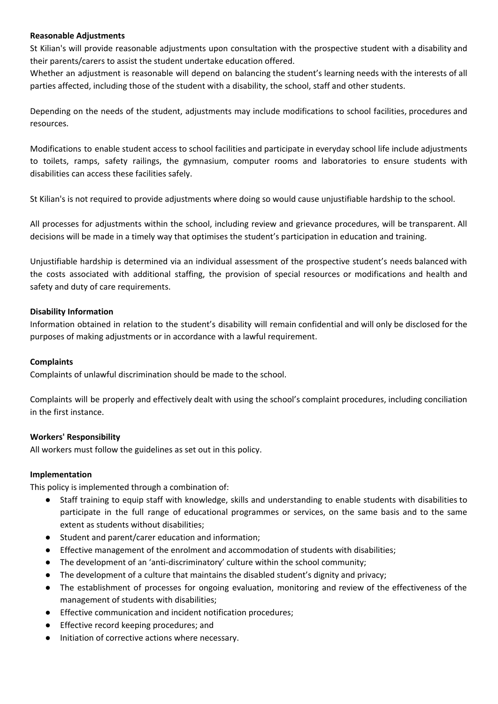#### **Reasonable Adjustments**

St Kilian's will provide reasonable adjustments upon consultation with the prospective student with a disability and their parents/carers to assist the student undertake education offered.

Whether an adjustment is reasonable will depend on balancing the student's learning needs with the interests of all parties affected, including those of the student with a disability, the school, staff and other students.

Depending on the needs of the student, adjustments may include modifications to school facilities, procedures and resources.

Modifications to enable student access to school facilities and participate in everyday school life include adjustments to toilets, ramps, safety railings, the gymnasium, computer rooms and laboratories to ensure students with disabilities can access these facilities safely.

St Kilian's is not required to provide adjustments where doing so would cause unjustifiable hardship to the school.

All processes for adjustments within the school, including review and grievance procedures, will be transparent. All decisions will be made in a timely way that optimises the student's participation in education and training.

Unjustifiable hardship is determined via an individual assessment of the prospective student's needs balanced with the costs associated with additional staffing, the provision of special resources or modifications and health and safety and duty of care requirements.

### **Disability Information**

Information obtained in relation to the student's disability will remain confidential and will only be disclosed for the purposes of making adjustments or in accordance with a lawful requirement.

#### **Complaints**

Complaints of unlawful discrimination should be made to the school.

Complaints will be properly and effectively dealt with using the school's complaint procedures, including conciliation in the first instance.

#### **Workers' Responsibility**

All workers must follow the guidelines as set out in this policy.

#### **Implementation**

This policy is implemented through a combination of:

- Staff training to equip staff with knowledge, skills and understanding to enable students with disabilities to participate in the full range of educational programmes or services, on the same basis and to the same extent as students without disabilities;
- Student and parent/carer education and information;
- Effective management of the enrolment and accommodation of students with disabilities;
- The development of an 'anti-discriminatory' culture within the school community;
- The development of a culture that maintains the disabled student's dignity and privacy;
- The establishment of processes for ongoing evaluation, monitoring and review of the effectiveness of the management of students with disabilities;
- Effective communication and incident notification procedures;
- Effective record keeping procedures; and
- Initiation of corrective actions where necessary.